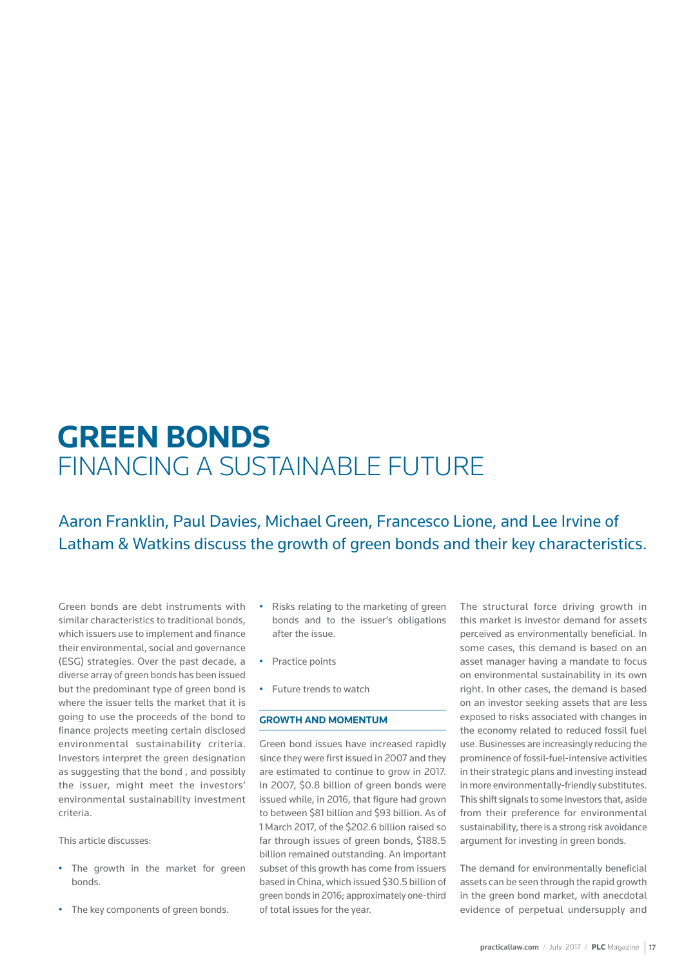# **GREEN BONDS**  FINANCING A SUSTAINABLE FUTURE

Aaron Franklin, Paul Davies, Michael Green, Francesco Lione, and Lee Irvine of Latham & Watkins discuss the growth of green bonds and their key characteristics.

Green bonds are debt instruments with similar characteristics to traditional bonds, which issuers use to implement and finance their environmental, social and governance (ESG) strategies. Over the past decade, a diverse array of green bonds has been issued but the predominant type of green bond is where the issuer tells the market that it is going to use the proceeds of the bond to finance projects meeting certain disclosed environmental sustainability criteria. Investors interpret the green designation as suggesting that the bond , and possibly the issuer, might meet the investors' environmental sustainability investment criteria.

This article discusses:

- The growth in the market for green bonds.
- The key components of green bonds.
- Risks relating to the marketing of green bonds and to the issuer's obligations after the issue.
- Practice points
- Future trends to watch

#### **GROWTH AND MOMENTUM**

Green bond issues have increased rapidly since they were first issued in 2007 and they are estimated to continue to grow in 2017. In 2007, \$0.8 billion of green bonds were issued while, in 2016, that figure had grown to between \$81 billion and \$93 billion. As of 1 March 2017, of the \$202.6 billion raised so far through issues of green bonds, \$188.5 billion remained outstanding. An important subset of this growth has come from issuers based in China, which issued \$30.5 billion of green bonds in 2016; approximately one-third of total issues for the year.

The structural force driving growth in this market is investor demand for assets perceived as environmentally beneficial. In some cases, this demand is based on an asset manager having a mandate to focus on environmental sustainability in its own right. In other cases, the demand is based on an investor seeking assets that are less exposed to risks associated with changes in the economy related to reduced fossil fuel use. Businesses are increasingly reducing the prominence of fossil-fuel-intensive activities in their strategic plans and investing instead in more environmentally-friendly substitutes. This shift signals to some investors that, aside from their preference for environmental sustainability, there is a strong risk avoidance argument for investing in green bonds.

The demand for environmentally beneficial assets can be seen through the rapid growth in the green bond market, with anecdotal evidence of perpetual undersupply and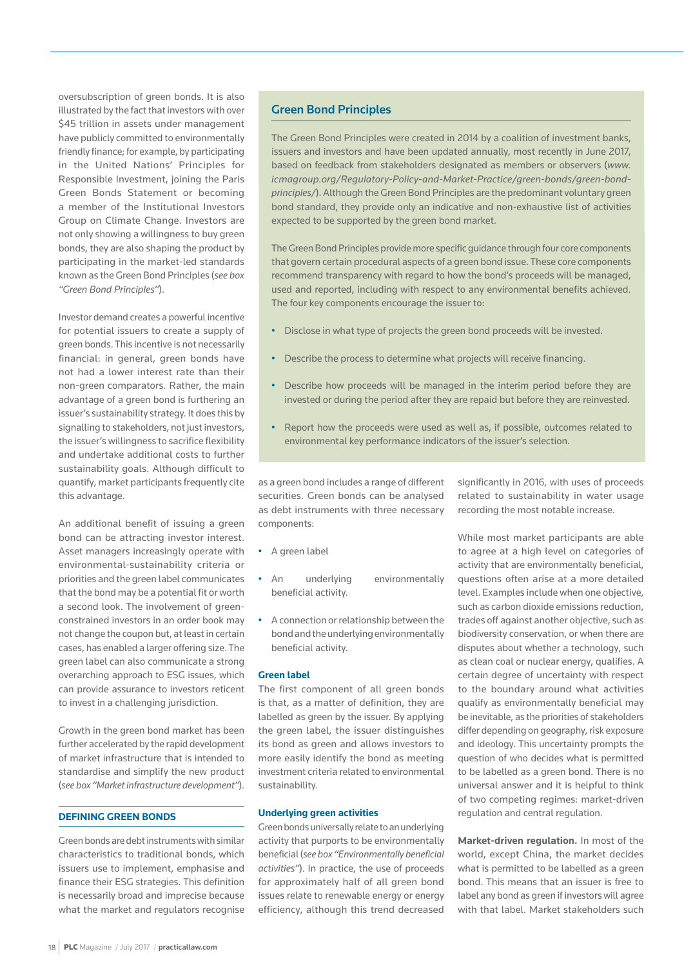oversubscription of green bonds. It is also illustrated by the fact that investors with over \$45 trillion in assets under management have publicly committed to environmentally friendly finance; for example, by participating in the United Nations' Principles for Responsible Investment, joining the Paris Green Bonds Statement or becoming a member of the Institutional Investors Group on Climate Change. Investors are not only showing a willingness to buy green bonds, they are also shaping the product by participating in the market-led standards known as the Green Bond Principles (*see box "Green Bond Principles"*).

Investor demand creates a powerful incentive for potential issuers to create a supply of green bonds. This incentive is not necessarily financial: in general, green bonds have not had a lower interest rate than their non-green comparators. Rather, the main advantage of a green bond is furthering an issuer's sustainability strategy. It does this by signalling to stakeholders, not just investors, the issuer's willingness to sacrifice flexibility and undertake additional costs to further sustainability goals. Although difficult to quantify, market participants frequently cite this advantage.

An additional benefit of issuing a green bond can be attracting investor interest. Asset managers increasingly operate with environmental-sustainability criteria or priorities and the green label communicates that the bond may be a potential fit or worth a second look. The involvement of greenconstrained investors in an order book may not change the coupon but, at least in certain cases, has enabled a larger offering size. The green label can also communicate a strong overarching approach to ESG issues, which can provide assurance to investors reticent to invest in a challenging jurisdiction.

Growth in the green bond market has been further accelerated by the rapid development of market infrastructure that is intended to standardise and simplify the new product (*see box "Market infrastructure development"*).

#### **DEFINING GREEN BONDS**

Green bonds are debt instruments with similar characteristics to traditional bonds, which issuers use to implement, emphasise and finance their ESG strategies. This definition is necessarily broad and imprecise because what the market and regulators recognise

# **Green Bond Principles**

The Green Bond Principles were created in 2014 by a coalition of investment banks, issuers and investors and have been updated annually, most recently in June 2017, based on feedback from stakeholders designated as members or observers (*www. icmagroup.org/Regulatory-Policy-and-Market-Practice/green-bonds/green-bondprinciples/*). Although the Green Bond Principles are the predominant voluntary green bond standard, they provide only an indicative and non-exhaustive list of activities expected to be supported by the green bond market.

The Green Bond Principles provide more specific quidance through four core components that govern certain procedural aspects of a green bond issue. These core components recommend transparency with regard to how the bond's proceeds will be managed, used and reported, including with respect to any environmental benefits achieved. The four key components encourage the issuer to:

- Disclose in what type of projects the green bond proceeds will be invested.
- Describe the process to determine what projects will receive financing.
- Describe how proceeds will be managed in the interim period before they are invested or during the period after they are repaid but before they are reinvested.
- Report how the proceeds were used as well as, if possible, outcomes related to environmental key performance indicators of the issuer's selection.

as a green bond includes a range of different securities. Green bonds can be analysed as debt instruments with three necessary components:

- A green label
- An underlying environmentally beneficial activity.
- A connection or relationship between the bond and the underlying environmentally beneficial activity.

#### **Green label**

The first component of all green bonds is that, as a matter of definition, they are labelled as green by the issuer. By applying the green label, the issuer distinguishes its bond as green and allows investors to more easily identify the bond as meeting investment criteria related to environmental sustainability.

## **Underlying green activities**

Green bonds universally relate to an underlying activity that purports to be environmentally beneficial (see box "Environmentally beneficial *activities"*). In practice, the use of proceeds for approximately half of all green bond issues relate to renewable energy or energy efficiency, although this trend decreased

significantly in 2016, with uses of proceeds related to sustainability in water usage recording the most notable increase.

While most market participants are able to agree at a high level on categories of activity that are environmentally beneficial, questions often arise at a more detailed level. Examples include when one objective, such as carbon dioxide emissions reduction, trades off against another objective, such as biodiversity conservation, or when there are disputes about whether a technology, such as clean coal or nuclear energy, qualifies. A certain degree of uncertainty with respect to the boundary around what activities qualify as environmentally beneficial may be inevitable, as the priorities of stakeholders differ depending on geography, risk exposure and ideology. This uncertainty prompts the question of who decides what is permitted to be labelled as a green bond. There is no universal answer and it is helpful to think of two competing regimes: market-driven regulation and central regulation.

**Market-driven regulation.** In most of the world, except China, the market decides what is permitted to be labelled as a green bond. This means that an issuer is free to label any bond as green if investors will agree with that label. Market stakeholders such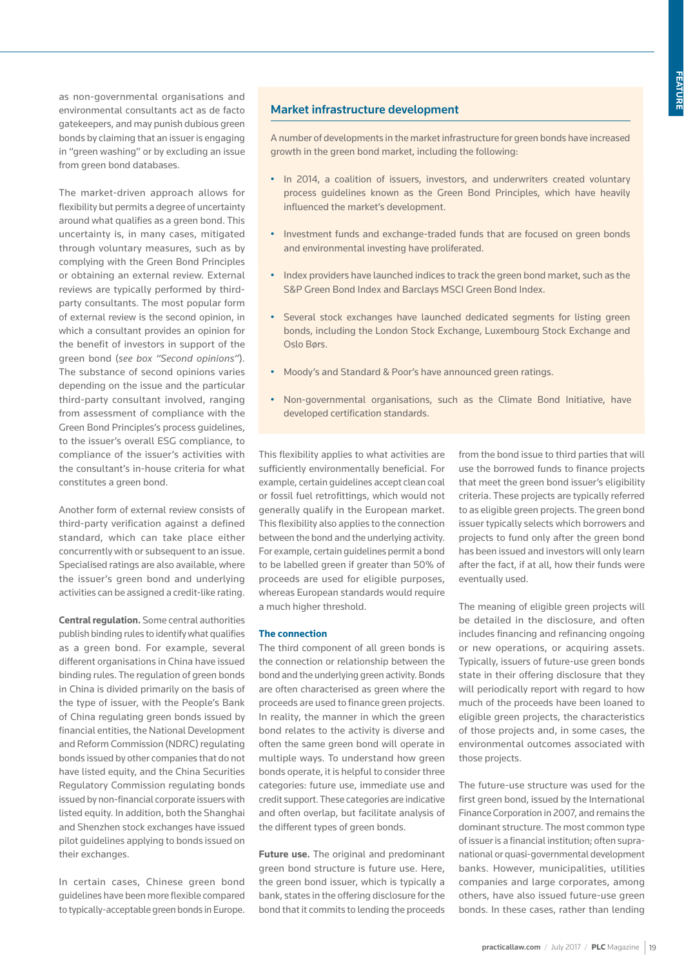as non-governmental organisations and environmental consultants act as de facto gatekeepers, and may punish dubious green bonds by claiming that an issuer is engaging in "green washing" or by excluding an issue from green bond databases.

The market-driven approach allows for flexibility but permits a degree of uncertainty around what qualifies as a green bond. This uncertainty is, in many cases, mitigated through voluntary measures, such as by complying with the Green Bond Principles or obtaining an external review. External reviews are typically performed by thirdparty consultants. The most popular form of external review is the second opinion, in which a consultant provides an opinion for the benefit of investors in support of the green bond (*see box "Second opinions"*). The substance of second opinions varies depending on the issue and the particular third-party consultant involved, ranging from assessment of compliance with the Green Bond Principles's process guidelines, to the issuer's overall ESG compliance, to compliance of the issuer's activities with the consultant's in-house criteria for what constitutes a green bond.

Another form of external review consists of third-party verification against a defined standard, which can take place either concurrently with or subsequent to an issue. Specialised ratings are also available, where the issuer's green bond and underlying activities can be assigned a credit-like rating.

**Central regulation.** Some central authorities publish binding rules to identify what qualifies as a green bond. For example, several different organisations in China have issued binding rules. The regulation of green bonds in China is divided primarily on the basis of the type of issuer, with the People's Bank of China regulating green bonds issued by financial entities, the National Development and Reform Commission (NDRC) regulating bonds issued by other companies that do not have listed equity, and the China Securities Regulatory Commission regulating bonds issued by non-financial corporate issuers with listed equity. In addition, both the Shanghai and Shenzhen stock exchanges have issued pilot guidelines applying to bonds issued on their exchanges.

In certain cases, Chinese green bond guidelines have been more flexible compared to typically-acceptable green bonds in Europe.

# **Market infrastructure development**

A number of developments in the market infrastructure for green bonds have increased growth in the green bond market, including the following:

- In 2014, a coalition of issuers, investors, and underwriters created voluntary process guidelines known as the Green Bond Principles, which have heavily influenced the market's development.
- Investment funds and exchange-traded funds that are focused on green bonds and environmental investing have proliferated.
- Index providers have launched indices to track the green bond market, such as the S&P Green Bond Index and Barclays MSCI Green Bond Index.
- Several stock exchanges have launched dedicated segments for listing green bonds, including the London Stock Exchange, Luxembourg Stock Exchange and Oslo Børs.
- Moody's and Standard & Poor's have announced green ratings.
- Non-governmental organisations, such as the Climate Bond Initiative, have developed certification standards.

This flexibility applies to what activities are sufficiently environmentally beneficial. For example, certain guidelines accept clean coal or fossil fuel retrofittings, which would not generally qualify in the European market. This flexibility also applies to the connection between the bond and the underlying activity. For example, certain guidelines permit a bond to be labelled green if greater than 50% of proceeds are used for eligible purposes, whereas European standards would require a much higher threshold.

#### **The connection**

The third component of all green bonds is the connection or relationship between the bond and the underlying green activity. Bonds are often characterised as green where the proceeds are used to finance green projects. In reality, the manner in which the green bond relates to the activity is diverse and often the same green bond will operate in multiple ways. To understand how green bonds operate, it is helpful to consider three categories: future use, immediate use and credit support. These categories are indicative and often overlap, but facilitate analysis of the different types of green bonds.

**Future use.** The original and predominant green bond structure is future use. Here, the green bond issuer, which is typically a bank, states in the offering disclosure for the bond that it commits to lending the proceeds from the bond issue to third parties that will use the borrowed funds to finance projects that meet the green bond issuer's eligibility criteria. These projects are typically referred to as eligible green projects. The green bond issuer typically selects which borrowers and projects to fund only after the green bond has been issued and investors will only learn after the fact, if at all, how their funds were eventually used.

The meaning of eligible green projects will be detailed in the disclosure, and often includes financing and refinancing ongoing or new operations, or acquiring assets. Typically, issuers of future-use green bonds state in their offering disclosure that they will periodically report with regard to how much of the proceeds have been loaned to eligible green projects, the characteristics of those projects and, in some cases, the environmental outcomes associated with those projects.

The future-use structure was used for the first green bond, issued by the International Finance Corporation in 2007, and remains the dominant structure. The most common type of issuer is a financial institution; often supranational or quasi-governmental development banks. However, municipalities, utilities companies and large corporates, among others, have also issued future-use green bonds. In these cases, rather than lending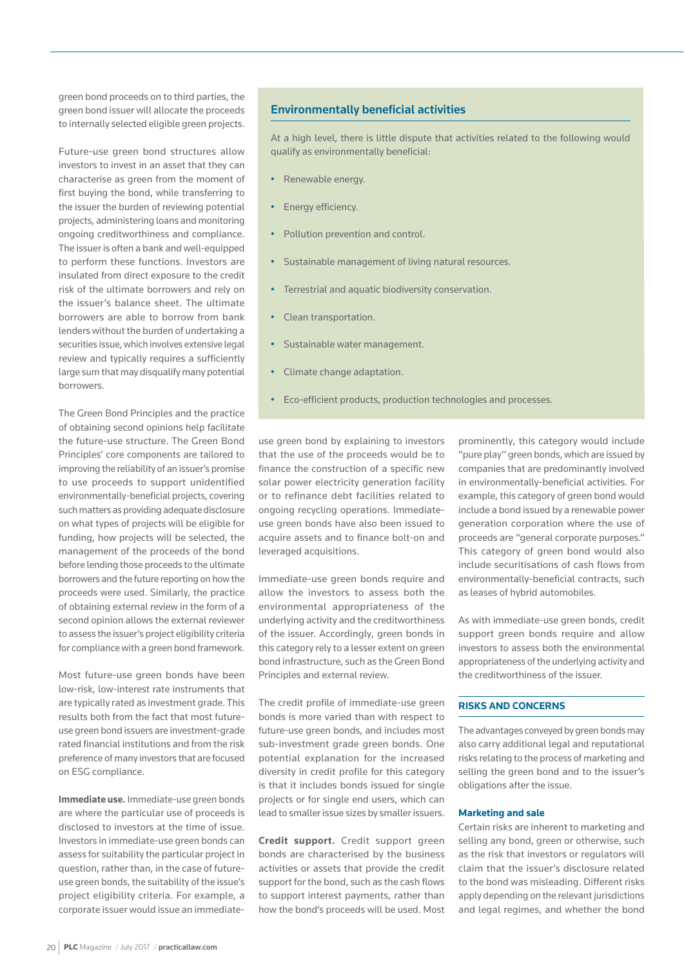green bond proceeds on to third parties, the green bond issuer will allocate the proceeds to internally selected eligible green projects.

Future-use green bond structures allow investors to invest in an asset that they can characterise as green from the moment of first buying the bond, while transferring to the issuer the burden of reviewing potential projects, administering loans and monitoring ongoing creditworthiness and compliance. The issuer is often a bank and well-equipped to perform these functions. Investors are insulated from direct exposure to the credit risk of the ultimate borrowers and rely on the issuer's balance sheet. The ultimate borrowers are able to borrow from bank lenders without the burden of undertaking a securities issue, which involves extensive legal review and typically requires a sufficiently large sum that may disqualify many potential borrowers.

The Green Bond Principles and the practice of obtaining second opinions help facilitate the future-use structure. The Green Bond Principles' core components are tailored to improving the reliability of an issuer's promise to use proceeds to support unidentified environmentally-beneficial projects, covering such matters as providing adequate disclosure on what types of projects will be eligible for funding, how projects will be selected, the management of the proceeds of the bond before lending those proceeds to the ultimate borrowers and the future reporting on how the proceeds were used. Similarly, the practice of obtaining external review in the form of a second opinion allows the external reviewer to assess the issuer's project eligibility criteria for compliance with a green bond framework.

Most future-use green bonds have been low-risk, low-interest rate instruments that are typically rated as investment grade. This results both from the fact that most futureuse green bond issuers are investment-grade rated financial institutions and from the risk preference of many investors that are focused on ESG compliance.

**Immediate use.** Immediate-use green bonds are where the particular use of proceeds is disclosed to investors at the time of issue. Investors in immediate-use green bonds can assess for suitability the particular project in question, rather than, in the case of futureuse green bonds, the suitability of the issue's project eligibility criteria. For example, a corporate issuer would issue an immediate-

## **Environmentally beneficial activities**

At a high level, there is little dispute that activities related to the following would qualify as environmentally beneficial:

- Renewable energy.
- **Energy efficiency.**
- Pollution prevention and control.
- Sustainable management of living natural resources.
- Terrestrial and aquatic biodiversity conservation.
- Clean transportation.
- Sustainable water management.
- Climate change adaptation.
- Eco-efficient products, production technologies and processes.

use green bond by explaining to investors that the use of the proceeds would be to finance the construction of a specific new solar power electricity generation facility or to refinance debt facilities related to ongoing recycling operations. Immediateuse green bonds have also been issued to acquire assets and to finance bolt-on and leveraged acquisitions.

Immediate-use green bonds require and allow the investors to assess both the environmental appropriateness of the underlying activity and the creditworthiness of the issuer. Accordingly, green bonds in this category rely to a lesser extent on green bond infrastructure, such as the Green Bond Principles and external review.

The credit profile of immediate-use green bonds is more varied than with respect to future-use green bonds, and includes most sub-investment grade green bonds. One potential explanation for the increased diversity in credit profile for this category is that it includes bonds issued for single projects or for single end users, which can lead to smaller issue sizes by smaller issuers.

**Credit support.** Credit support green bonds are characterised by the business activities or assets that provide the credit support for the bond, such as the cash flows to support interest payments, rather than how the bond's proceeds will be used. Most

prominently, this category would include "pure play" green bonds, which are issued by companies that are predominantly involved in environmentally-beneficial activities. For example, this category of green bond would include a bond issued by a renewable power generation corporation where the use of proceeds are "general corporate purposes." This category of green bond would also include securitisations of cash flows from environmentally-beneficial contracts, such as leases of hybrid automobiles.

As with immediate-use green bonds, credit support green bonds require and allow investors to assess both the environmental appropriateness of the underlying activity and the creditworthiness of the issuer.

## **RISKS AND CONCERNS**

The advantages conveyed by green bonds may also carry additional legal and reputational risks relating to the process of marketing and selling the green bond and to the issuer's obligations after the issue.

#### **Marketing and sale**

Certain risks are inherent to marketing and selling any bond, green or otherwise, such as the risk that investors or regulators will claim that the issuer's disclosure related to the bond was misleading. Different risks apply depending on the relevant jurisdictions and legal regimes, and whether the bond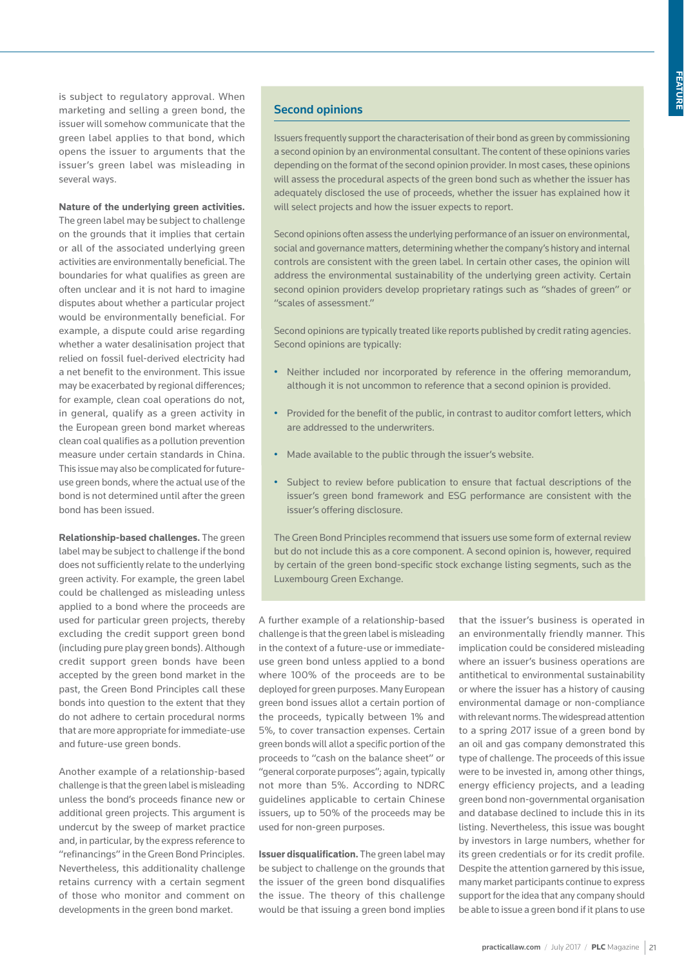is subject to regulatory approval. When marketing and selling a green bond, the issuer will somehow communicate that the green label applies to that bond, which opens the issuer to arguments that the issuer's green label was misleading in several ways.

## **Nature of the underlying green activities.**

The green label may be subject to challenge on the grounds that it implies that certain or all of the associated underlying green activities are environmentally beneficial. The boundaries for what qualifies as green are often unclear and it is not hard to imagine disputes about whether a particular project would be environmentally beneficial. For example, a dispute could arise regarding whether a water desalinisation project that relied on fossil fuel-derived electricity had a net benefit to the environment. This issue may be exacerbated by regional differences; for example, clean coal operations do not, in general, qualify as a green activity in the European green bond market whereas clean coal qualifies as a pollution prevention measure under certain standards in China. This issue may also be complicated for futureuse green bonds, where the actual use of the bond is not determined until after the green bond has been issued.

**Relationship-based challenges.** The green label may be subject to challenge if the bond does not sufficiently relate to the underlying green activity. For example, the green label could be challenged as misleading unless applied to a bond where the proceeds are used for particular green projects, thereby excluding the credit support green bond (including pure play green bonds). Although credit support green bonds have been accepted by the green bond market in the past, the Green Bond Principles call these bonds into question to the extent that they do not adhere to certain procedural norms that are more appropriate for immediate-use and future-use green bonds.

Another example of a relationship-based challenge is that the green label is misleading unless the bond's proceeds finance new or additional green projects. This argument is undercut by the sweep of market practice and, in particular, by the express reference to "refinancings" in the Green Bond Principles. Nevertheless, this additionality challenge retains currency with a certain segment of those who monitor and comment on developments in the green bond market.

# **Second opinions**

Issuers frequently support the characterisation of their bond as green by commissioning a second opinion by an environmental consultant. The content of these opinions varies depending on the format of the second opinion provider. In most cases, these opinions will assess the procedural aspects of the green bond such as whether the issuer has adequately disclosed the use of proceeds, whether the issuer has explained how it will select projects and how the issuer expects to report.

Second opinions often assess the underlying performance of an issuer on environmental, social and governance matters, determining whether the company's history and internal controls are consistent with the green label. In certain other cases, the opinion will address the environmental sustainability of the underlying green activity. Certain second opinion providers develop proprietary ratings such as "shades of green" or "scales of assessment"

Second opinions are typically treated like reports published by credit rating agencies. Second opinions are typically:

- Neither included nor incorporated by reference in the offering memorandum, although it is not uncommon to reference that a second opinion is provided.
- Provided for the benefit of the public, in contrast to auditor comfort letters, which are addressed to the underwriters.
- Made available to the public through the issuer's website.
- Subject to review before publication to ensure that factual descriptions of the issuer's green bond framework and ESG performance are consistent with the issuer's offering disclosure.

The Green Bond Principles recommend that issuers use some form of external review but do not include this as a core component. A second opinion is, however, required by certain of the green bond-specific stock exchange listing segments, such as the Luxembourg Green Exchange.

A further example of a relationship-based challenge is that the green label is misleading in the context of a future-use or immediateuse green bond unless applied to a bond where 100% of the proceeds are to be deployed for green purposes. Many European green bond issues allot a certain portion of the proceeds, typically between 1% and 5%, to cover transaction expenses. Certain green bonds will allot a specific portion of the proceeds to "cash on the balance sheet" or "general corporate purposes"; again, typically not more than 5%. According to NDRC guidelines applicable to certain Chinese issuers, up to 50% of the proceeds may be used for non-green purposes.

**Issuer disqualification.** The green label may be subject to challenge on the grounds that the issuer of the green bond disqualifies the issue. The theory of this challenge would be that issuing a green bond implies

that the issuer's business is operated in an environmentally friendly manner. This implication could be considered misleading where an issuer's business operations are antithetical to environmental sustainability or where the issuer has a history of causing environmental damage or non-compliance with relevant norms. The widespread attention to a spring 2017 issue of a green bond by an oil and gas company demonstrated this type of challenge. The proceeds of this issue were to be invested in, among other things, energy efficiency projects, and a leading green bond non-governmental organisation and database declined to include this in its listing. Nevertheless, this issue was bought by investors in large numbers, whether for its green credentials or for its credit profile. Despite the attention garnered by this issue, many market participants continue to express support for the idea that any company should be able to issue a green bond if it plans to use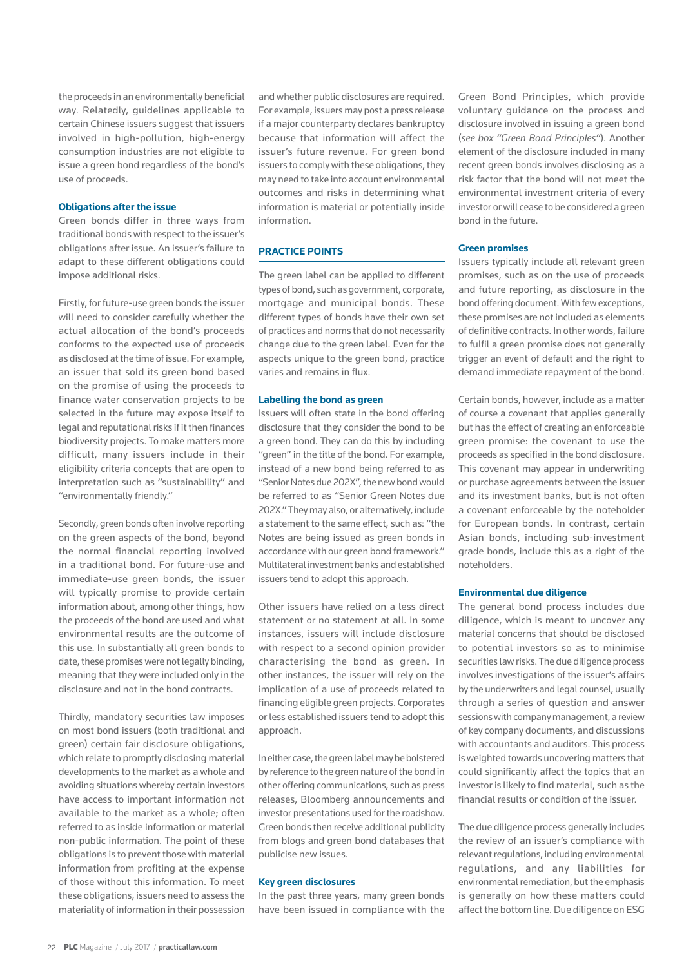the proceeds in an environmentally beneficial way. Relatedly, guidelines applicable to certain Chinese issuers suggest that issuers involved in high-pollution, high-energy consumption industries are not eligible to issue a green bond regardless of the bond's use of proceeds.

## **Obligations after the issue**

Green bonds differ in three ways from traditional bonds with respect to the issuer's obligations after issue. An issuer's failure to adapt to these different obligations could impose additional risks.

Firstly, for future-use green bonds the issuer will need to consider carefully whether the actual allocation of the bond's proceeds conforms to the expected use of proceeds as disclosed at the time of issue. For example, an issuer that sold its green bond based on the promise of using the proceeds to finance water conservation projects to be selected in the future may expose itself to legal and reputational risks if it then finances biodiversity projects. To make matters more difficult, many issuers include in their eligibility criteria concepts that are open to interpretation such as "sustainability" and "environmentally friendly."

Secondly, green bonds often involve reporting on the green aspects of the bond, beyond the normal financial reporting involved in a traditional bond. For future-use and immediate-use green bonds, the issuer will typically promise to provide certain information about, among other things, how the proceeds of the bond are used and what environmental results are the outcome of this use. In substantially all green bonds to date, these promises were not legally binding, meaning that they were included only in the disclosure and not in the bond contracts.

Thirdly, mandatory securities law imposes on most bond issuers (both traditional and green) certain fair disclosure obligations, which relate to promptly disclosing material developments to the market as a whole and avoiding situations whereby certain investors have access to important information not available to the market as a whole; often referred to as inside information or material non-public information. The point of these obligations is to prevent those with material information from profiting at the expense of those without this information. To meet these obligations, issuers need to assess the materiality of information in their possession

and whether public disclosures are required. For example, issuers may post a press release if a major counterparty declares bankruptcy because that information will affect the issuer's future revenue. For green bond issuers to comply with these obligations, they may need to take into account environmental outcomes and risks in determining what information is material or potentially inside information.

## **PRACTICE POINTS**

The green label can be applied to different types of bond, such as government, corporate, mortgage and municipal bonds. These different types of bonds have their own set of practices and norms that do not necessarily change due to the green label. Even for the aspects unique to the green bond, practice varies and remains in flux.

#### **Labelling the bond as green**

Issuers will often state in the bond offering disclosure that they consider the bond to be a green bond. They can do this by including "green" in the title of the bond. For example, instead of a new bond being referred to as "Senior Notes due 202X", the new bond would be referred to as "Senior Green Notes due 202X." They may also, or alternatively, include a statement to the same effect, such as: "the Notes are being issued as green bonds in accordance with our green bond framework." Multilateral investment banks and established issuers tend to adopt this approach.

Other issuers have relied on a less direct statement or no statement at all. In some instances, issuers will include disclosure with respect to a second opinion provider characterising the bond as green. In other instances, the issuer will rely on the implication of a use of proceeds related to financing eligible green projects. Corporates or less established issuers tend to adopt this approach.

In either case, the green label may be bolstered by reference to the green nature of the bond in other offering communications, such as press releases, Bloomberg announcements and investor presentations used for the roadshow. Green bonds then receive additional publicity from blogs and green bond databases that publicise new issues.

### **Key green disclosures**

In the past three years, many green bonds have been issued in compliance with the Green Bond Principles, which provide voluntary guidance on the process and disclosure involved in issuing a green bond (*see box "Green Bond Principles"*). Another element of the disclosure included in many recent green bonds involves disclosing as a risk factor that the bond will not meet the environmental investment criteria of every investor or will cease to be considered a green bond in the future.

## **Green promises**

Issuers typically include all relevant green promises, such as on the use of proceeds and future reporting, as disclosure in the bond offering document. With few exceptions, these promises are not included as elements of definitive contracts. In other words, failure to fulfil a green promise does not generally trigger an event of default and the right to demand immediate repayment of the bond.

Certain bonds, however, include as a matter of course a covenant that applies generally but has the effect of creating an enforceable green promise: the covenant to use the proceeds as specified in the bond disclosure. This covenant may appear in underwriting or purchase agreements between the issuer and its investment banks, but is not often a covenant enforceable by the noteholder for European bonds. In contrast, certain Asian bonds, including sub-investment grade bonds, include this as a right of the noteholders.

#### **Environmental due diligence**

The general bond process includes due diligence, which is meant to uncover any material concerns that should be disclosed to potential investors so as to minimise securities law risks. The due diligence process involves investigations of the issuer's affairs by the underwriters and legal counsel, usually through a series of question and answer sessions with company management, a review of key company documents, and discussions with accountants and auditors. This process is weighted towards uncovering matters that could significantly affect the topics that an investor is likely to find material, such as the financial results or condition of the issuer.

The due diligence process generally includes the review of an issuer's compliance with relevant regulations, including environmental regulations, and any liabilities for environmental remediation, but the emphasis is generally on how these matters could affect the bottom line. Due diligence on ESG